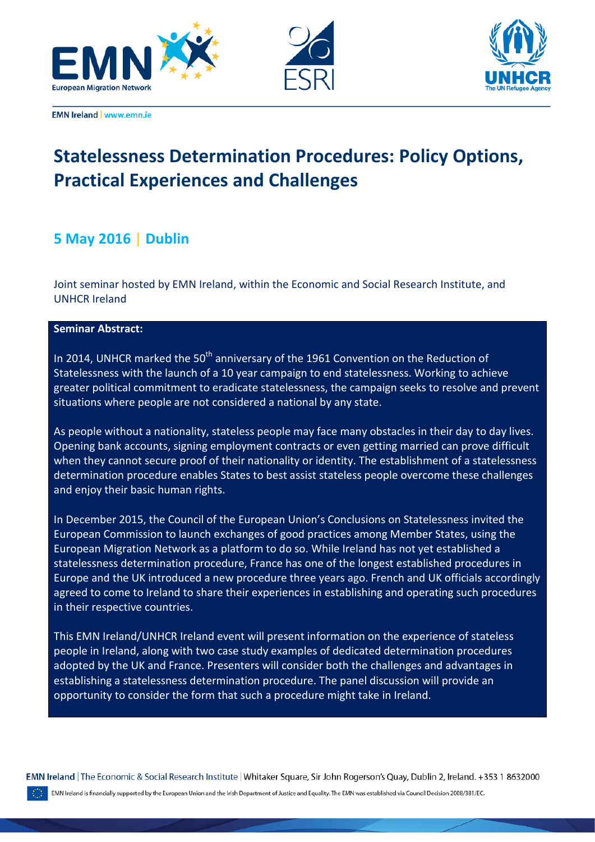



![](_page_0_Picture_2.jpeg)

**EMN Ireland | www.emn.ie** 

# **Statelessness Determination Procedures: Policy Options, Practical Experiences and Challenges**

# **5 May 2016** | **Dublin**

Joint seminar hosted by EMN Ireland, within the Economic and Social Research Institute, and UNHCR Ireland

## **Seminar Abstract:**

In 2014, UNHCR marked the  $50<sup>th</sup>$  anniversary of the 1961 Convention on the Reduction of Statelessness with the launch of a 10 year campaign to end statelessness. Working to achieve greater political commitment to eradicate statelessness, the campaign seeks to resolve and prevent situations where people are not considered a national by any state.

As people without a nationality, stateless people may face many obstacles in their day to day lives. Opening bank accounts, signing employment contracts or even getting married can prove difficult when they cannot secure proof of their nationality or identity. The establishment of a statelessness determination procedure enables States to best assist stateless people overcome these challenges and enjoy their basic human rights.

In December 2015, the Council of the European Union's Conclusions on Statelessness invited the European Commission to launch exchanges of good practices among Member States, using the European Migration Network as a platform to do so. While Ireland has not yet established a statelessness determination procedure, France has one of the longest established procedures in Europe and the UK introduced a new procedure three years ago. French and UK officials accordingly agreed to come to Ireland to share their experiences in establishing and operating such procedures in their respective countries.

This EMN Ireland/UNHCR Ireland event will present information on the experience of stateless people in Ireland, along with two case study examples of dedicated determination procedures adopted by the UK and France. Presenters will consider both the challenges and advantages in establishing a statelessness determination procedure. The panel discussion will provide an opportunity to consider the form that such a procedure might take in Ireland.

EMN Ireland The Economic & Social Research Institute | Whitaker Square, Sir John Rogerson's Quay, Dublin 2, Ireland. +353 1 8632000

EMN Ireland is financially supported by the European Union and the Irish Department of Justice and Equality. The EMN was established via Council Decision 2008/381/EC.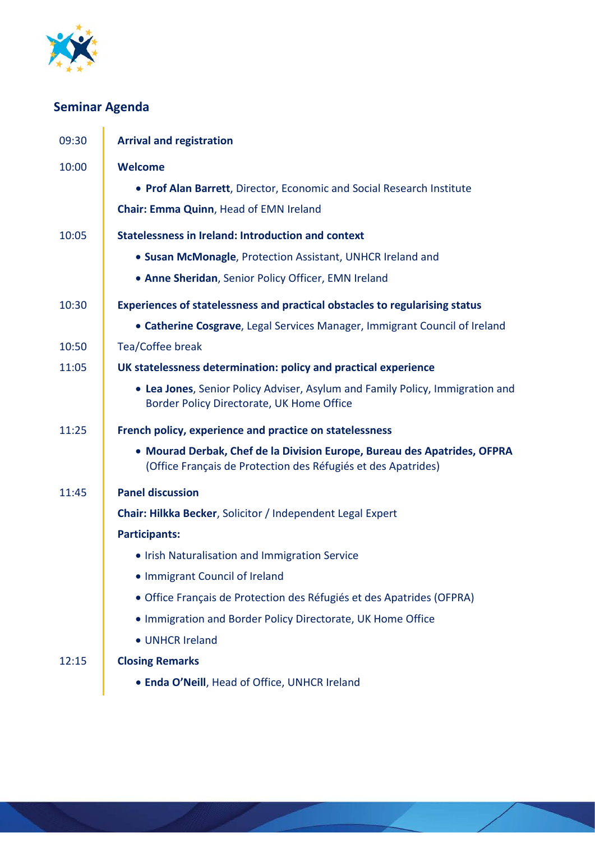![](_page_1_Picture_0.jpeg)

# **Seminar Agenda**

| 09:30 | <b>Arrival and registration</b>                                                                                                           |
|-------|-------------------------------------------------------------------------------------------------------------------------------------------|
| 10:00 | <b>Welcome</b>                                                                                                                            |
|       | • Prof Alan Barrett, Director, Economic and Social Research Institute                                                                     |
|       | Chair: Emma Quinn, Head of EMN Ireland                                                                                                    |
| 10:05 | <b>Statelessness in Ireland: Introduction and context</b>                                                                                 |
|       | • Susan McMonagle, Protection Assistant, UNHCR Ireland and                                                                                |
|       | . Anne Sheridan, Senior Policy Officer, EMN Ireland                                                                                       |
| 10:30 | Experiences of statelessness and practical obstacles to regularising status                                                               |
|       | • Catherine Cosgrave, Legal Services Manager, Immigrant Council of Ireland                                                                |
| 10:50 | Tea/Coffee break                                                                                                                          |
| 11:05 | UK statelessness determination: policy and practical experience                                                                           |
|       | • Lea Jones, Senior Policy Adviser, Asylum and Family Policy, Immigration and<br>Border Policy Directorate, UK Home Office                |
| 11:25 | French policy, experience and practice on statelessness                                                                                   |
|       | • Mourad Derbak, Chef de la Division Europe, Bureau des Apatrides, OFPRA<br>(Office Français de Protection des Réfugiés et des Apatrides) |
| 11:45 | <b>Panel discussion</b>                                                                                                                   |
|       | Chair: Hilkka Becker, Solicitor / Independent Legal Expert                                                                                |
|       | <b>Participants:</b>                                                                                                                      |
|       | . Irish Naturalisation and Immigration Service                                                                                            |
|       | • Immigrant Council of Ireland                                                                                                            |
|       | · Office Français de Protection des Réfugiés et des Apatrides (OFPRA)                                                                     |
|       | . Immigration and Border Policy Directorate, UK Home Office                                                                               |
|       | • UNHCR Ireland                                                                                                                           |
| 12:15 | <b>Closing Remarks</b>                                                                                                                    |
|       | • Enda O'Neill, Head of Office, UNHCR Ireland                                                                                             |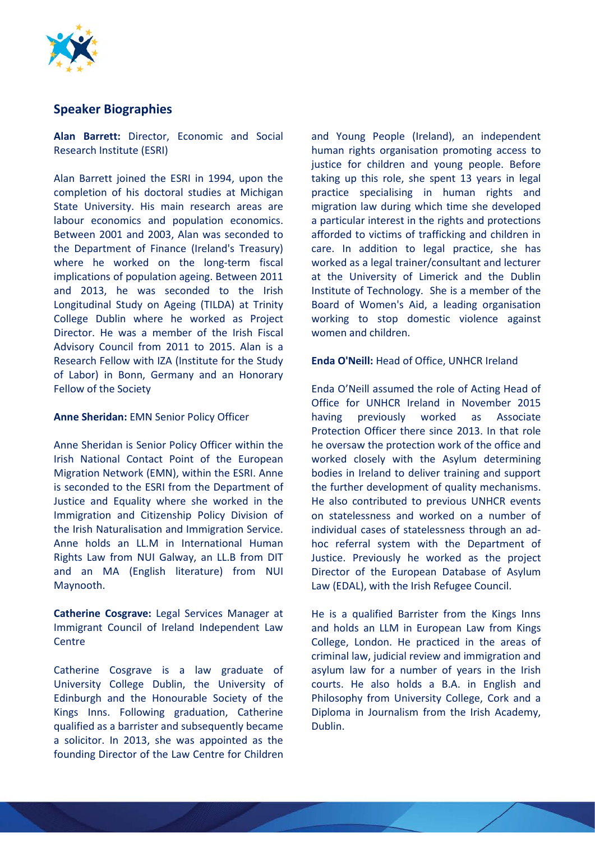![](_page_2_Picture_0.jpeg)

# **Speaker Biographies**

**Alan Barrett:** Director, Economic and Social Research Institute (ESRI)

Alan Barrett joined the ESRI in 1994, upon the completion of his doctoral studies at Michigan State University. His main research areas are labour economics and population economics. Between 2001 and 2003, Alan was seconded to the Department of Finance (Ireland's Treasury) where he worked on the long-term fiscal implications of population ageing. Between 2011 and 2013, he was seconded to the Irish Longitudinal Study on Ageing (TILDA) at Trinity College Dublin where he worked as Project Director. He was a member of the Irish Fiscal Advisory Council from 2011 to 2015. Alan is a Research Fellow with IZA (Institute for the Study of Labor) in Bonn, Germany and an Honorary Fellow of the Society

#### **Anne Sheridan:** EMN Senior Policy Officer

Anne Sheridan is Senior Policy Officer within the Irish National Contact Point of the European Migration Network (EMN), within the ESRI. Anne is seconded to the ESRI from the Department of Justice and Equality where she worked in the Immigration and Citizenship Policy Division of the Irish Naturalisation and Immigration Service. Anne holds an LL.M in International Human Rights Law from NUI Galway, an LL.B from DIT and an MA (English literature) from NUI Maynooth.

**Catherine Cosgrave:** Legal Services Manager at Immigrant Council of Ireland Independent Law Centre

Catherine Cosgrave is a law graduate of University College Dublin, the University of Edinburgh and the Honourable Society of the Kings Inns. Following graduation, Catherine qualified as a barrister and subsequently became a solicitor. In 2013, she was appointed as the founding Director of the Law Centre for Children

and Young People (Ireland), an independent human rights organisation promoting access to justice for children and young people. Before taking up this role, she spent 13 years in legal practice specialising in human rights and migration law during which time she developed a particular interest in the rights and protections afforded to victims of trafficking and children in care. In addition to legal practice, she has worked as a legal trainer/consultant and lecturer at the University of Limerick and the Dublin Institute of Technology. She is a member of the Board of Women's Aid, a leading organisation working to stop domestic violence against women and children.

### **Enda O'Neill:** Head of Office, UNHCR Ireland

Enda O'Neill assumed the role of Acting Head of Office for UNHCR Ireland in November 2015 having previously worked as Associate Protection Officer there since 2013. In that role he oversaw the protection work of the office and worked closely with the Asylum determining bodies in Ireland to deliver training and support the further development of quality mechanisms. He also contributed to previous UNHCR events on statelessness and worked on a number of individual cases of statelessness through an adhoc referral system with the Department of Justice. Previously he worked as the project Director of the European Database of Asylum Law (EDAL), with the Irish Refugee Council.

He is a qualified Barrister from the Kings Inns and holds an LLM in European Law from Kings College, London. He practiced in the areas of criminal law, judicial review and immigration and asylum law for a number of years in the Irish courts. He also holds a B.A. in English and Philosophy from University College, Cork and a Diploma in Journalism from the Irish Academy, Dublin.